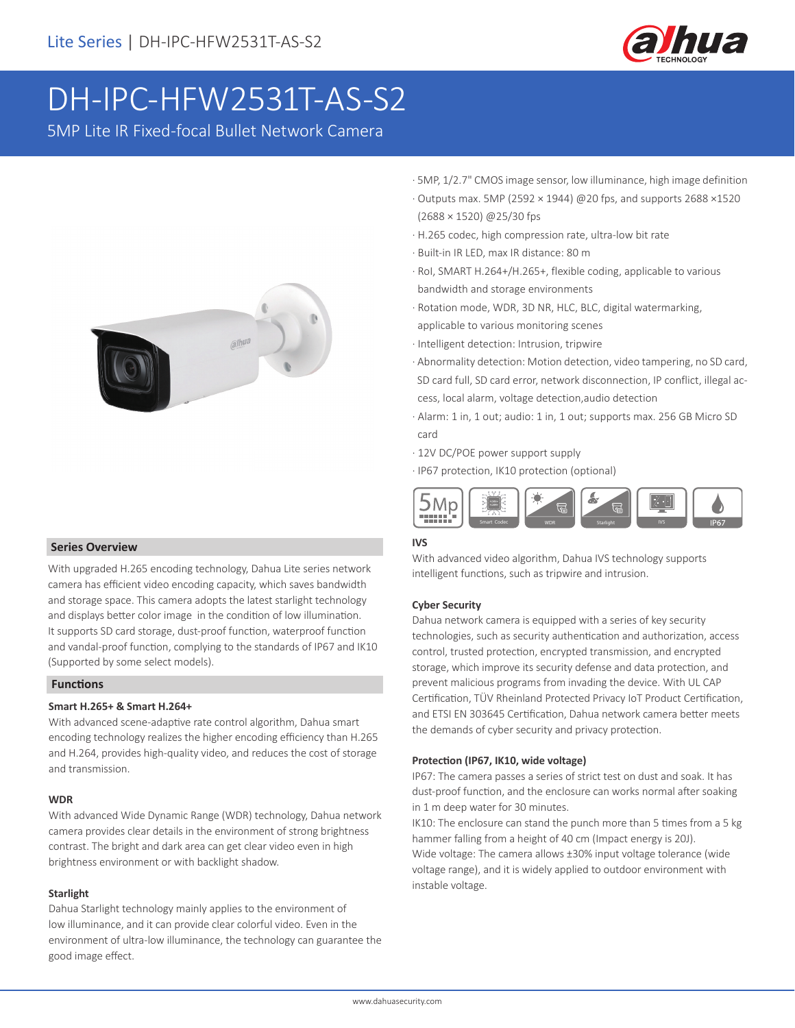

# DH-IPC-HFW2531T-AS-S2

5MP Lite IR Fixed-focal Bullet Network Camera



#### **Series Overview**

With upgraded H.265 encoding technology, Dahua Lite series network camera has efficient video encoding capacity, which saves bandwidth and storage space. This camera adopts the latest starlight technology and displays better color image in the condition of low illumination. It supports SD card storage, dust-proof function, waterproof function and vandal-proof function, complying to the standards of IP67 and IK10 (Supported by some select models).

#### **Functions**

#### **Smart H.265+ & Smart H.264+**

With advanced scene-adaptive rate control algorithm, Dahua smart encoding technology realizes the higher encoding efficiency than H.265 and H.264, provides high-quality video, and reduces the cost of storage and transmission.

#### **WDR**

With advanced Wide Dynamic Range (WDR) technology, Dahua network camera provides clear details in the environment of strong brightness contrast. The bright and dark area can get clear video even in high brightness environment or with backlight shadow.

#### **Starlight**

Dahua Starlight technology mainly applies to the environment of low illuminance, and it can provide clear colorful video. Even in the environment of ultra-low illuminance, the technology can guarantee the good image effect.

- · 5MP, 1/2.7" CMOS image sensor, low illuminance, high image definition
- · Outputs max. 5MP (2592 × 1944) @20 fps, and supports 2688 ×1520 (2688 × 1520) @25/30 fps
- · H.265 codec, high compression rate, ultra-low bit rate
- · Built-in IR LED, max IR distance: 80 m
- · RoI, SMART H.264+/H.265+, flexible coding, applicable to various bandwidth and storage environments
- · Rotation mode, WDR, 3D NR, HLC, BLC, digital watermarking, applicable to various monitoring scenes
- · Intelligent detection: Intrusion, tripwire
- · Abnormality detection: Motion detection, video tampering, no SD card, SD card full, SD card error, network disconnection, IP conflict, illegal ac cess, local alarm, voltage detection,audio detection
- · Alarm: 1 in, 1 out; audio: 1 in, 1 out; supports max. 256 GB Micro SD card
- · 12V DC/POE power support supply
- · IP67 protection, IK10 protection (optional)



#### **IVS**

With advanced video algorithm, Dahua IVS technology supports intelligent functions, such as tripwire and intrusion.

#### **Cyber Security**

Dahua network camera is equipped with a series of key security technologies, such as security authentication and authorization, access control, trusted protection, encrypted transmission, and encrypted storage, which improve its security defense and data protection, and prevent malicious programs from invading the device. With UL CAP Certification, TÜV Rheinland Protected Privacy IoT Product Certification, and ETSI EN 303645 Certification, Dahua network camera better meets the demands of cyber security and privacy protection.

#### **Protection (IP67, IK10, wide voltage)**

IP67: The camera passes a series of strict test on dust and soak. It has dust-proof function, and the enclosure can works normal after soaking in 1 m deep water for 30 minutes.

IK10: The enclosure can stand the punch more than 5 times from a 5 kg hammer falling from a height of 40 cm (Impact energy is 20J). Wide voltage: The camera allows ±30% input voltage tolerance (wide voltage range), and it is widely applied to outdoor environment with instable voltage.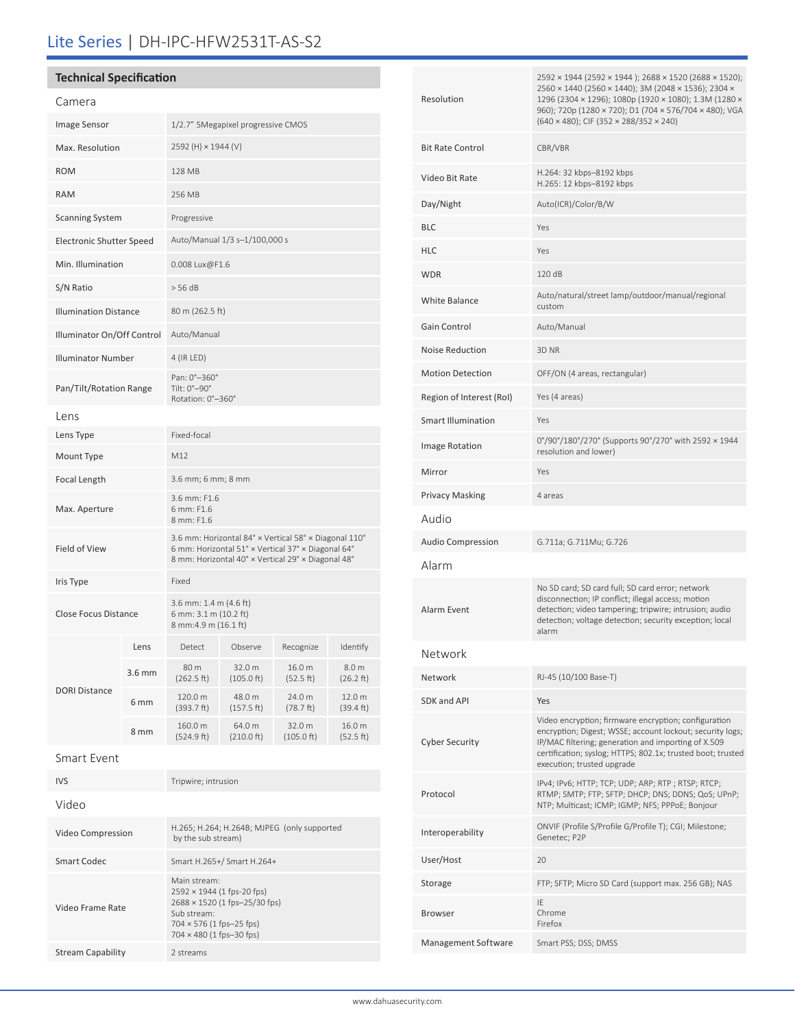# Lite Series | DH-IPC-HFW2531T-AS-S2

### **Technical Specification**

| Camera                       |          |                                                                                                                                                                   |                                |                      |                     |
|------------------------------|----------|-------------------------------------------------------------------------------------------------------------------------------------------------------------------|--------------------------------|----------------------|---------------------|
| Image Sensor                 |          | 1/2.7" 5Megapixel progressive CMOS                                                                                                                                |                                |                      |                     |
| Max. Resolution              |          | 2592 (H) × 1944 (V)                                                                                                                                               |                                |                      |                     |
| <b>ROM</b>                   |          | 128 MB                                                                                                                                                            |                                |                      |                     |
| <b>RAM</b>                   |          | 256 MB                                                                                                                                                            |                                |                      |                     |
| <b>Scanning System</b>       |          | Progressive                                                                                                                                                       |                                |                      |                     |
| Electronic Shutter Speed     |          | Auto/Manual 1/3 s-1/100,000 s                                                                                                                                     |                                |                      |                     |
| Min. Illumination            |          | 0.008 Lux@F1.6                                                                                                                                                    |                                |                      |                     |
| S/N Ratio                    |          | > 56 dB                                                                                                                                                           |                                |                      |                     |
| <b>Illumination Distance</b> |          | 80 m (262.5 ft)                                                                                                                                                   |                                |                      |                     |
| Illuminator On/Off Control   |          | Auto/Manual                                                                                                                                                       |                                |                      |                     |
| <b>Illuminator Number</b>    |          | 4 (IR LED)                                                                                                                                                        |                                |                      |                     |
| Pan/Tilt/Rotation Range      |          | Pan: 0°-360°<br>Tilt: 0°-90°<br>Rotation: 0°-360°                                                                                                                 |                                |                      |                     |
| Lens                         |          |                                                                                                                                                                   |                                |                      |                     |
| Lens Type                    |          | Fixed-focal                                                                                                                                                       |                                |                      |                     |
| Mount Type                   |          | M12                                                                                                                                                               |                                |                      |                     |
| Focal Length                 |          | 3.6 mm; 6 mm; 8 mm                                                                                                                                                |                                |                      |                     |
| Max. Aperture                |          | 3.6 mm: F1.6<br>6 mm: F1.6<br>8 mm: F1.6                                                                                                                          |                                |                      |                     |
| Field of View                |          | 3.6 mm: Horizontal 84° x Vertical 58° x Diagonal 110°<br>6 mm: Horizontal 51° × Vertical 37° × Diagonal 64°<br>8 mm: Horizontal 40° × Vertical 29° × Diagonal 48° |                                |                      |                     |
| Iris Type                    |          | Fixed                                                                                                                                                             |                                |                      |                     |
| Close Focus Distance         |          | 3.6 mm: 1.4 m (4.6 ft)<br>6 mm: 3.1 m (10.2 ft)<br>8 mm:4.9 m (16.1 ft)                                                                                           |                                |                      |                     |
|                              | Lens     | Detect                                                                                                                                                            | Observe                        | Recognize            | Identify            |
| <b>DORI Distance</b>         | $3.6$ mm | 80 m<br>(262.5 ft)                                                                                                                                                | 32.0 m<br>$(105.0 \text{ ft})$ | 16.0 m<br>(52.5 ft)  | 8.0 m<br>(26.2 ft)  |
|                              | 6 mm     | 120.0 m<br>(393.7 ft)                                                                                                                                             | 48.0 m<br>(157.5 ft)           | 24.0 m<br>(78.7 ft)  | 12.0 m<br>(39.4 ft) |
|                              | 8 mm     | 160.0 m<br>(524.9 ft)                                                                                                                                             | 64.0 m<br>(210.0 ft)           | 32.0 m<br>(105.0 ft) | 16.0 m<br>(52.5 ft) |
| Smart Event                  |          |                                                                                                                                                                   |                                |                      |                     |
| <b>IVS</b>                   |          | Tripwire; intrusion                                                                                                                                               |                                |                      |                     |
|                              |          |                                                                                                                                                                   |                                |                      |                     |

| Video                    |                                                                                                                                                                  |  |
|--------------------------|------------------------------------------------------------------------------------------------------------------------------------------------------------------|--|
| Video Compression        | H.265; H.264; H.264B; MJPEG (only supported<br>by the sub stream)                                                                                                |  |
| Smart Codec              | Smart H.265+/ Smart H.264+                                                                                                                                       |  |
| Video Frame Rate         | Main stream:<br>$2592 \times 1944$ (1 fps-20 fps)<br>2688 × 1520 (1 fps-25/30 fps)<br>Sub stream:<br>$704 \times 576$ (1 fps-25 fps)<br>704 × 480 (1 fps-30 fps) |  |
| <b>Stream Capability</b> | 2 streams                                                                                                                                                        |  |

| Resolution               | 2592 × 1944 (2592 × 1944 ); 2688 × 1520 (2688 × 1520);<br>2560 × 1440 (2560 × 1440); 3M (2048 × 1536); 2304 ×<br>1296 (2304 × 1296); 1080p (1920 × 1080); 1.3M (1280 ×<br>960); 720p (1280 × 720); D1 (704 × 576/704 × 480); VGA<br>$(640 \times 480)$ ; CIF $(352 \times 288/352 \times 240)$ |  |  |
|--------------------------|------------------------------------------------------------------------------------------------------------------------------------------------------------------------------------------------------------------------------------------------------------------------------------------------|--|--|
| <b>Bit Rate Control</b>  | CBR/VBR                                                                                                                                                                                                                                                                                        |  |  |
| Video Bit Rate           | H.264: 32 kbps-8192 kbps<br>H.265: 12 kbps-8192 kbps                                                                                                                                                                                                                                           |  |  |
| Day/Night                | Auto(ICR)/Color/B/W                                                                                                                                                                                                                                                                            |  |  |
| BLC                      | Yes                                                                                                                                                                                                                                                                                            |  |  |
| HLC                      | Yes                                                                                                                                                                                                                                                                                            |  |  |
| WDR                      | 120 dB                                                                                                                                                                                                                                                                                         |  |  |
| White Balance            | Auto/natural/street lamp/outdoor/manual/regional<br>custom                                                                                                                                                                                                                                     |  |  |
| Gain Control             | Auto/Manual                                                                                                                                                                                                                                                                                    |  |  |
| <b>Noise Reduction</b>   | 3D NR                                                                                                                                                                                                                                                                                          |  |  |
| Motion Detection         | OFF/ON (4 areas, rectangular)                                                                                                                                                                                                                                                                  |  |  |
| Region of Interest (RoI) | Yes (4 areas)                                                                                                                                                                                                                                                                                  |  |  |
| Smart Illumination       | Yes                                                                                                                                                                                                                                                                                            |  |  |
| Image Rotation           | 0°/90°/180°/270° (Supports 90°/270° with 2592 × 1944<br>resolution and lower)                                                                                                                                                                                                                  |  |  |
| Mirror                   | Yes                                                                                                                                                                                                                                                                                            |  |  |
| Privacy Masking          | 4 areas                                                                                                                                                                                                                                                                                        |  |  |
| Audio                    |                                                                                                                                                                                                                                                                                                |  |  |
| <b>Audio Compression</b> | G.711a; G.711Mu; G.726                                                                                                                                                                                                                                                                         |  |  |
| Alarm                    |                                                                                                                                                                                                                                                                                                |  |  |
| Alarm Event              | No SD card; SD card full; SD card error; network<br>disconnection; IP conflict; illegal access; motion<br>detection; video tampering; tripwire; intrusion; audio<br>detection; voltage detection; security exception; local<br>alarm                                                           |  |  |
| Network                  |                                                                                                                                                                                                                                                                                                |  |  |
| Network                  | RJ-45 (10/100 Base-T)                                                                                                                                                                                                                                                                          |  |  |
| SDK and API              | Yes                                                                                                                                                                                                                                                                                            |  |  |
| Cyber Security           | Video encryption; firmware encryption; configuration<br>encryption; Digest; WSSE; account lockout; security logs;<br>IP/MAC filtering; generation and importing of X.509<br>certification; syslog; HTTPS; 802.1x; trusted boot; trusted<br>execution; trusted upgrade                          |  |  |
| Protocol                 | IPv4; IPv6; HTTP; TCP; UDP; ARP; RTP; RTSP; RTCP;<br>RTMP; SMTP; FTP; SFTP; DHCP; DNS; DDNS; QoS; UPnP;<br>NTP; Multicast; ICMP; IGMP; NFS; PPPoE; Bonjour                                                                                                                                     |  |  |
| Interoperability         | ONVIF (Profile S/Profile G/Profile T); CGI; Milestone;<br>Genetec; P2P                                                                                                                                                                                                                         |  |  |
| User/Host                | 20                                                                                                                                                                                                                                                                                             |  |  |
| Storage                  | FTP; SFTP; Micro SD Card (support max. 256 GB); NAS                                                                                                                                                                                                                                            |  |  |
| Browser                  | IE<br>Chrome<br>Firefox                                                                                                                                                                                                                                                                        |  |  |
| Management Software      | Smart PSS; DSS; DMSS                                                                                                                                                                                                                                                                           |  |  |
|                          |                                                                                                                                                                                                                                                                                                |  |  |